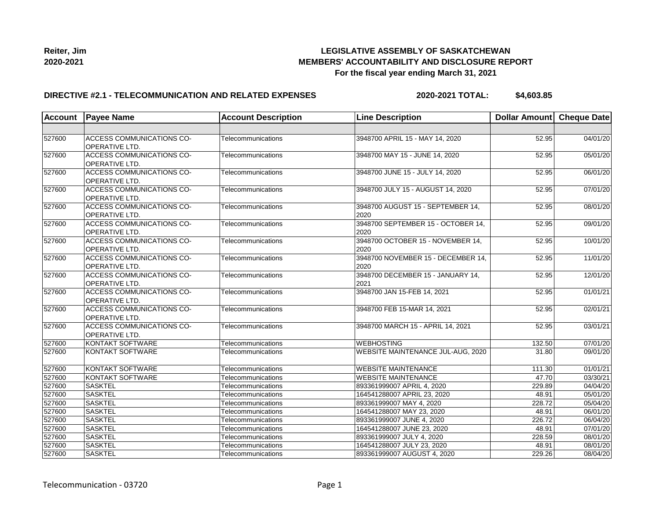

### **DIRECTIVE #2.1 - TELECOMMUNICATION AND RELATED EXPENSES**

**2020-2021 TOTAL: \$4,603.85**

| <b>Account</b> | <b>Payee Name</b>                                         | <b>Account Description</b> | <b>Line Description</b>                    | Dollar Amount Cheque Date |          |
|----------------|-----------------------------------------------------------|----------------------------|--------------------------------------------|---------------------------|----------|
|                |                                                           |                            |                                            |                           |          |
| 527600         | <b>ACCESS COMMUNICATIONS CO-</b><br><b>OPERATIVE LTD.</b> | Telecommunications         | 3948700 APRIL 15 - MAY 14, 2020            | 52.95                     | 04/01/20 |
| 527600         | <b>ACCESS COMMUNICATIONS CO-</b><br><b>OPERATIVE LTD.</b> | Telecommunications         | 3948700 MAY 15 - JUNE 14, 2020             | 52.95                     | 05/01/20 |
| 527600         | ACCESS COMMUNICATIONS CO-<br><b>OPERATIVE LTD.</b>        | Telecommunications         | 3948700 JUNE 15 - JULY 14, 2020            | $\overline{5}$ 2.95       | 06/01/20 |
| 527600         | ACCESS COMMUNICATIONS CO-<br>OPERATIVE LTD.               | Telecommunications         | 3948700 JULY 15 - AUGUST 14, 2020          | 52.95                     | 07/01/20 |
| 527600         | ACCESS COMMUNICATIONS CO-<br>OPERATIVE LTD.               | Telecommunications         | 3948700 AUGUST 15 - SEPTEMBER 14,<br>2020  | 52.95                     | 08/01/20 |
| 527600         | ACCESS COMMUNICATIONS CO-<br><b>OPERATIVE LTD.</b>        | <b>Telecommunications</b>  | 3948700 SEPTEMBER 15 - OCTOBER 14,<br>2020 | 52.95                     | 09/01/20 |
| 527600         | ACCESS COMMUNICATIONS CO-<br><b>OPERATIVE LTD.</b>        | Telecommunications         | 3948700 OCTOBER 15 - NOVEMBER 14,<br>2020  | 52.95                     | 10/01/20 |
| 527600         | ACCESS COMMUNICATIONS CO-<br>OPERATIVE LTD.               | <b>Telecommunications</b>  | 3948700 NOVEMBER 15 - DECEMBER 14,<br>2020 | 52.95                     | 11/01/20 |
| 527600         | ACCESS COMMUNICATIONS CO-<br>OPERATIVE LTD.               | Telecommunications         | 3948700 DECEMBER 15 - JANUARY 14,<br>2021  | 52.95                     | 12/01/20 |
| 527600         | <b>ACCESS COMMUNICATIONS CO-</b><br>OPERATIVE LTD.        | Telecommunications         | 3948700 JAN 15-FEB 14, 2021                | 52.95                     | 01/01/21 |
| 527600         | <b>ACCESS COMMUNICATIONS CO-</b><br>OPERATIVE LTD.        | Telecommunications         | 3948700 FEB 15-MAR 14, 2021                | 52.95                     | 02/01/21 |
| 527600         | <b>ACCESS COMMUNICATIONS CO-</b><br>OPERATIVE LTD.        | Telecommunications         | 3948700 MARCH 15 - APRIL 14, 2021          | 52.95                     | 03/01/21 |
| 527600         | <b>KONTAKT SOFTWARE</b>                                   | Telecommunications         | <b>WEBHOSTING</b>                          | 132.50                    | 07/01/20 |
| 527600         | <b>KONTAKT SOFTWARE</b>                                   | Telecommunications         | WEBSITE MAINTENANCE JUL-AUG, 2020          | 31.80                     | 09/01/20 |
| 527600         | KONTAKT SOFTWARE                                          | Telecommunications         | <b>WEBSITE MAINTENANCE</b>                 | 111.30                    | 01/01/21 |
| 527600         | KONTAKT SOFTWARE                                          | Telecommunications         | <b>WEBSITE MAINTENANCE</b>                 | 47.70                     | 03/30/21 |
| 527600         | <b>SASKTEL</b>                                            | Telecommunications         | 893361999007 APRIL 4, 2020                 | 229.89                    | 04/04/20 |
| 527600         | <b>SASKTEL</b>                                            | Telecommunications         | 164541288007 APRIL 23, 2020                | 48.91                     | 05/01/20 |
| 527600         | <b>SASKTEL</b>                                            | Telecommunications         | 893361999007 MAY 4, 2020                   | 228.72                    | 05/04/20 |
| 527600         | <b>SASKTEL</b>                                            | Telecommunications         | 164541288007 MAY 23, 2020                  | 48.91                     | 06/01/20 |
| 527600         | <b>SASKTEL</b>                                            | Telecommunications         | 893361999007 JUNE 4, 2020                  | 226.72                    | 06/04/20 |
| 527600         | <b>SASKTEL</b>                                            | Telecommunications         | 164541288007 JUNE 23, 2020                 | 48.91                     | 07/01/20 |
| 527600         | <b>SASKTEL</b>                                            | Telecommunications         | 893361999007 JULY 4, 2020                  | 228.59                    | 08/01/20 |
| 527600         | <b>SASKTEL</b>                                            | Telecommunications         | 164541288007 JULY 23, 2020                 | 48.91                     | 08/01/20 |
| 527600         | <b>SASKTEL</b>                                            | Telecommunications         | 893361999007 AUGUST 4, 2020                | 229.26                    | 08/04/20 |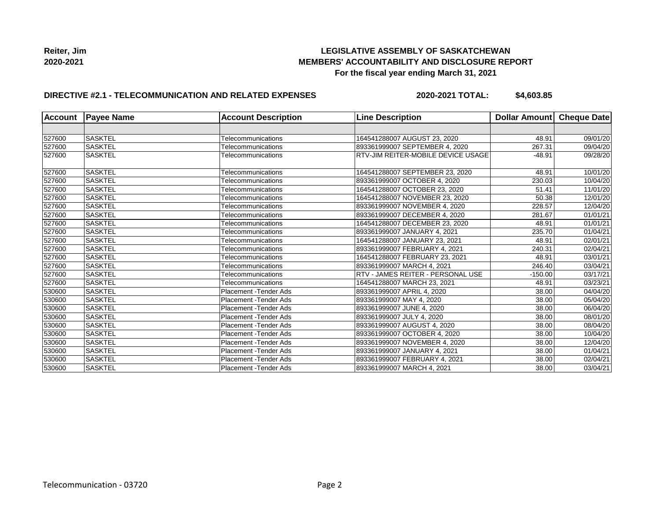

## **DIRECTIVE #2.1 - TELECOMMUNICATION AND RELATED EXPENSES**

**2020-2021 TOTAL: \$4,603.85**

| <b>Account</b> | <b>Payee Name</b> | <b>Account Description</b>    | <b>Line Description</b>                   | <b>Dollar Amount</b> | Cheque Date |
|----------------|-------------------|-------------------------------|-------------------------------------------|----------------------|-------------|
|                |                   |                               |                                           |                      |             |
| 527600         | SASKTEL           | Telecommunications            | 164541288007 AUGUST 23, 2020              | 48.91                | 09/01/20    |
| 527600         | <b>SASKTEL</b>    | Telecommunications            | 893361999007 SEPTEMBER 4, 2020            | 267.31               | 09/04/20    |
| 527600         | <b>SASKTEL</b>    | Telecommunications            | <b>RTV-JIM REITER-MOBILE DEVICE USAGE</b> | $-48.91$             | 09/28/20    |
| 527600         | <b>SASKTEL</b>    | Telecommunications            | 164541288007 SEPTEMBER 23, 2020           | 48.91                | 10/01/20    |
| 527600         | <b>SASKTEL</b>    | Telecommunications            | 893361999007 OCTOBER 4, 2020              | 230.03               | 10/04/20    |
| 527600         | <b>SASKTEL</b>    | Telecommunications            | 164541288007 OCTOBER 23, 2020             | 51.41                | 11/01/20    |
| 527600         | <b>SASKTEL</b>    | Telecommunications            | 164541288007 NOVEMBER 23, 2020            | 50.38                | 12/01/20    |
| 527600         | <b>SASKTEL</b>    | Telecommunications            | 893361999007 NOVEMBER 4, 2020             | 228.57               | 12/04/20    |
| 527600         | <b>SASKTEL</b>    | Telecommunications            | 893361999007 DECEMBER 4, 2020             | 281.67               | 01/01/21    |
| 527600         | <b>SASKTEL</b>    | Telecommunications            | 164541288007 DECEMBER 23, 2020            | 48.91                | 01/01/21    |
| 527600         | <b>SASKTEL</b>    | Telecommunications            | 893361999007 JANUARY 4, 2021              | 235.70               | 01/04/21    |
| 527600         | <b>SASKTEL</b>    | Telecommunications            | 164541288007 JANUARY 23, 2021             | 48.91                | 02/01/21    |
| 527600         | <b>SASKTEL</b>    | Telecommunications            | 893361999007 FEBRUARY 4. 2021             | 240.31               | 02/04/21    |
| 527600         | SASKTEL           | Telecommunications            | 164541288007 FEBRUARY 23, 2021            | 48.91                | 03/01/21    |
| 527600         | <b>SASKTEL</b>    | Telecommunications            | 893361999007 MARCH 4, 2021                | 246.40               | 03/04/21    |
| 527600         | <b>SASKTEL</b>    | Telecommunications            | <b>RTV - JAMES REITER - PERSONAL USE</b>  | $-150.00$            | 03/17/21    |
| 527600         | <b>SASKTEL</b>    | Telecommunications            | 164541288007 MARCH 23, 2021               | 48.91                | 03/23/21    |
| 530600         | <b>SASKTEL</b>    | <b>Placement - Tender Ads</b> | 893361999007 APRIL 4, 2020                | 38.00                | 04/04/20    |
| 530600         | <b>SASKTEL</b>    | Placement - Tender Ads        | 893361999007 MAY 4, 2020                  | 38.00                | 05/04/20    |
| 530600         | <b>SASKTEL</b>    | Placement - Tender Ads        | 893361999007 JUNE 4, 2020                 | 38.00                | 06/04/20    |
| 530600         | <b>SASKTEL</b>    | Placement - Tender Ads        | 893361999007 JULY 4, 2020                 | 38.00                | 08/01/20    |
| 530600         | <b>SASKTEL</b>    | <b>Placement - Tender Ads</b> | 893361999007 AUGUST 4, 2020               | 38.00                | 08/04/20    |
| 530600         | <b>SASKTEL</b>    | Placement - Tender Ads        | 893361999007 OCTOBER 4, 2020              | 38.00                | 10/04/20    |
| 530600         | <b>SASKTEL</b>    | Placement - Tender Ads        | 893361999007 NOVEMBER 4, 2020             | 38.00                | 12/04/20    |
| 530600         | <b>SASKTEL</b>    | Placement - Tender Ads        | 893361999007 JANUARY 4, 2021              | 38.00                | 01/04/21    |
| 530600         | SASKTEL           | Placement - Tender Ads        | 893361999007 FEBRUARY 4, 2021             | 38.00                | 02/04/21    |
| 530600         | <b>SASKTEL</b>    | <b>Placement - Tender Ads</b> | 893361999007 MARCH 4, 2021                | 38.00                | 03/04/21    |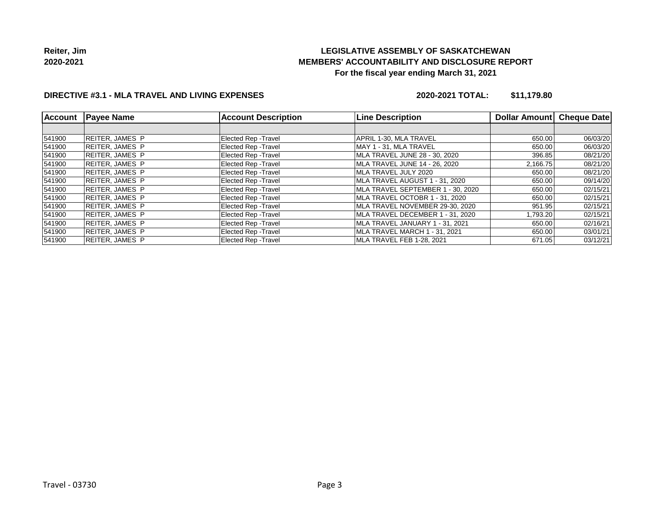

## **DIRECTIVE #3.1 - MLA TRAVEL AND LIVING EXPENSES**

**2020-2021 TOTAL: \$11,179.80**

| <b>Account</b> | <b>Payee Name</b>      | <b>Account Description</b>  | <b>Line Description</b>           | Dollar Amount | <b>Cheque Date</b> |
|----------------|------------------------|-----------------------------|-----------------------------------|---------------|--------------------|
|                |                        |                             |                                   |               |                    |
| 541900         | <b>REITER, JAMES P</b> | <b>Elected Rep - Travel</b> | APRIL 1-30, MLA TRAVEL            | 650.00        | 06/03/20           |
| 541900         | REITER, JAMES P        | <b>Elected Rep - Travel</b> | MAY 1 - 31. MLA TRAVEL            | 650.00        | 06/03/20           |
| 541900         | REITER, JAMES P        | <b>Elected Rep - Travel</b> | MLA TRAVEL JUNE 28 - 30, 2020     | 396.85        | 08/21/20           |
| 541900         | REITER, JAMES P        | <b>Elected Rep - Travel</b> | MLA TRAVEL JUNE 14 - 26, 2020     | 2,166.75      | 08/21/20           |
| 541900         | REITER, JAMES P        | <b>Elected Rep - Travel</b> | IMLA TRAVEL JULY 2020             | 650.00        | 08/21/20           |
| 541900         | REITER.JAMES P         | <b>Elected Rep - Travel</b> | MLA TRAVEL AUGUST 1 - 31. 2020    | 650.00        | 09/14/20           |
| 541900         | <b>REITER, JAMES P</b> | <b>Elected Rep - Travel</b> | MLA TRAVEL SEPTEMBER 1 - 30, 2020 | 650.00        | 02/15/21           |
| 541900         | REITER, JAMES P        | <b>Elected Rep - Travel</b> | MLA TRAVEL OCTOBR 1 - 31. 2020    | 650.00        | 02/15/21           |
| 541900         | REITER, JAMES P        | <b>Elected Rep - Travel</b> | MLA TRAVEL NOVEMBER 29-30, 2020   | 951.95        | 02/15/21           |
| 541900         | REITER, JAMES P        | <b>Elected Rep - Travel</b> | MLA TRAVEL DECEMBER 1 - 31, 2020  | 1,793.20      | 02/15/21           |
| 541900         | REITER, JAMES P        | <b>Elected Rep - Travel</b> | MLA TRAVEL JANUARY 1 - 31, 2021   | 650.00        | 02/16/21           |
| 541900         | REITER, JAMES P        | <b>Elected Rep - Travel</b> | MLA TRAVEL MARCH 1 - 31, 2021     | 650.00        | 03/01/21           |
| 541900         | REITER.JAMES P         | <b>Elected Rep - Travel</b> | MLA TRAVEL FEB 1-28. 2021         | 671.05        | 03/12/21           |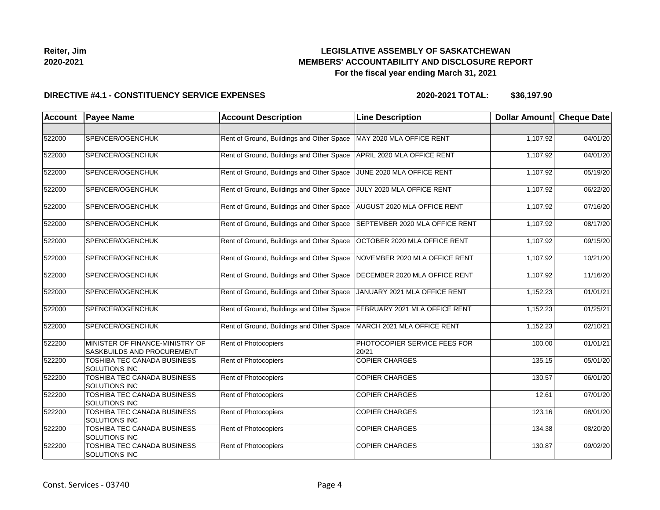

| Reiter, Jim |  |
|-------------|--|
| 2020-2021   |  |

### **DIRECTIVE #4.1 - CONSTITUENCY SERVICE EXPENSES**

| <b>Account</b> | <b>Payee Name</b>                                             | <b>Account Description</b>                | <b>Line Description</b>               | Dollar Amount Cheque Date |          |
|----------------|---------------------------------------------------------------|-------------------------------------------|---------------------------------------|---------------------------|----------|
|                |                                                               |                                           |                                       |                           |          |
| 522000         | SPENCER/OGENCHUK                                              | Rent of Ground, Buildings and Other Space | MAY 2020 MLA OFFICE RENT              | 1,107.92                  | 04/01/20 |
| 522000         | SPENCER/OGENCHUK                                              | Rent of Ground, Buildings and Other Space | APRIL 2020 MLA OFFICE RENT            | 1,107.92                  | 04/01/20 |
| 522000         | SPENCER/OGENCHUK                                              | Rent of Ground, Buildings and Other Space | JUNE 2020 MLA OFFICE RENT             | 1,107.92                  | 05/19/20 |
| 522000         | SPENCER/OGENCHUK                                              | Rent of Ground, Buildings and Other Space | JULY 2020 MLA OFFICE RENT             | 1,107.92                  | 06/22/20 |
| 522000         | SPENCER/OGENCHUK                                              | Rent of Ground, Buildings and Other Space | AUGUST 2020 MLA OFFICE RENT           | 1,107.92                  | 07/16/20 |
| 522000         | SPENCER/OGENCHUK                                              | Rent of Ground, Buildings and Other Space | SEPTEMBER 2020 MLA OFFICE RENT        | 1,107.92                  | 08/17/20 |
| 522000         | SPENCER/OGENCHUK                                              | Rent of Ground, Buildings and Other Space | OCTOBER 2020 MLA OFFICE RENT          | 1,107.92                  | 09/15/20 |
| 522000         | SPENCER/OGENCHUK                                              | Rent of Ground, Buildings and Other Space | NOVEMBER 2020 MLA OFFICE RENT         | 1,107.92                  | 10/21/20 |
| 522000         | SPENCER/OGENCHUK                                              | Rent of Ground, Buildings and Other Space | DECEMBER 2020 MLA OFFICE RENT         | 1,107.92                  | 11/16/20 |
| 522000         | SPENCER/OGENCHUK                                              | Rent of Ground, Buildings and Other Space | JANUARY 2021 MLA OFFICE RENT          | 1,152.23                  | 01/01/21 |
| 522000         | SPENCER/OGENCHUK                                              | Rent of Ground, Buildings and Other Space | FEBRUARY 2021 MLA OFFICE RENT         | 1,152.23                  | 01/25/21 |
| 522000         | SPENCER/OGENCHUK                                              | Rent of Ground, Buildings and Other Space | MARCH 2021 MLA OFFICE RENT            | 1,152.23                  | 02/10/21 |
| 522200         | MINISTER OF FINANCE-MINISTRY OF<br>SASKBUILDS AND PROCUREMENT | <b>Rent of Photocopiers</b>               | PHOTOCOPIER SERVICE FEES FOR<br>20/21 | 100.00                    | 01/01/21 |
| 522200         | TOSHIBA TEC CANADA BUSINESS<br>SOLUTIONS INC                  | Rent of Photocopiers                      | <b>COPIER CHARGES</b>                 | 135.15                    | 05/01/20 |
| 522200         | TOSHIBA TEC CANADA BUSINESS<br>SOLUTIONS INC                  | Rent of Photocopiers                      | <b>COPIER CHARGES</b>                 | 130.57                    | 06/01/20 |
| 522200         | TOSHIBA TEC CANADA BUSINESS<br><b>SOLUTIONS INC</b>           | Rent of Photocopiers                      | <b>COPIER CHARGES</b>                 | 12.61                     | 07/01/20 |
| 522200         | TOSHIBA TEC CANADA BUSINESS<br>SOLUTIONS INC                  | <b>Rent of Photocopiers</b>               | <b>COPIER CHARGES</b>                 | 123.16                    | 08/01/20 |
| 522200         | TOSHIBA TEC CANADA BUSINESS<br>SOLUTIONS INC                  | <b>Rent of Photocopiers</b>               | <b>COPIER CHARGES</b>                 | 134.38                    | 08/20/20 |
| 522200         | TOSHIBA TEC CANADA BUSINESS<br>SOLUTIONS INC                  | <b>Rent of Photocopiers</b>               | <b>COPIER CHARGES</b>                 | 130.87                    | 09/02/20 |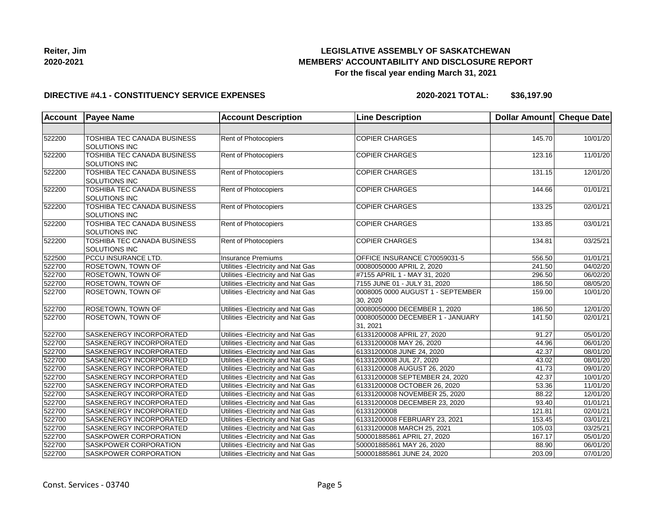

#### **DIRECTIVE #4.1 - CONSTITUENCY SERVICE EXPENSES**

| <b>Account</b> | <b>Payee Name</b>                                   | <b>Account Description</b>          | <b>Line Description</b>                      | Dollar Amount | <b>Cheque Date</b> |
|----------------|-----------------------------------------------------|-------------------------------------|----------------------------------------------|---------------|--------------------|
|                |                                                     |                                     |                                              |               |                    |
| 522200         | TOSHIBA TEC CANADA BUSINESS<br><b>SOLUTIONS INC</b> | Rent of Photocopiers                | <b>COPIER CHARGES</b>                        | 145.70        | 10/01/20           |
| 522200         | TOSHIBA TEC CANADA BUSINESS<br><b>SOLUTIONS INC</b> | <b>Rent of Photocopiers</b>         | <b>COPIER CHARGES</b>                        | 123.16        | 11/01/20           |
| 522200         | TOSHIBA TEC CANADA BUSINESS<br><b>SOLUTIONS INC</b> | <b>Rent of Photocopiers</b>         | <b>COPIER CHARGES</b>                        | 131.15        | 12/01/20           |
| 522200         | TOSHIBA TEC CANADA BUSINESS<br><b>SOLUTIONS INC</b> | Rent of Photocopiers                | <b>COPIER CHARGES</b>                        | 144.66        | 01/01/21           |
| 522200         | TOSHIBA TEC CANADA BUSINESS<br><b>SOLUTIONS INC</b> | Rent of Photocopiers                | <b>COPIER CHARGES</b>                        | 133.25        | 02/01/21           |
| 522200         | TOSHIBA TEC CANADA BUSINESS<br><b>SOLUTIONS INC</b> | <b>Rent of Photocopiers</b>         | <b>COPIER CHARGES</b>                        | 133.85        | 03/01/21           |
| 522200         | TOSHIBA TEC CANADA BUSINESS<br><b>SOLUTIONS INC</b> | Rent of Photocopiers                | <b>COPIER CHARGES</b>                        | 134.81        | 03/25/21           |
| 522500         | <b>PCCU INSURANCE LTD.</b>                          | <b>Insurance Premiums</b>           | OFFICE INSURANCE C70059031-5                 | 556.50        | 01/01/21           |
| 522700         | <b>ROSETOWN, TOWN OF</b>                            | Utilities - Electricity and Nat Gas | 00080050000 APRIL 2, 2020                    | 241.50        | 04/02/20           |
| 522700         | <b>ROSETOWN, TOWN OF</b>                            | Utilities - Electricity and Nat Gas | #7155 APRIL 1 - MAY 31, 2020                 | 296.50        | 06/02/20           |
| 522700         | <b>ROSETOWN, TOWN OF</b>                            | Utilities - Electricity and Nat Gas | 7155 JUNE 01 - JULY 31, 2020                 | 186.50        | 08/05/20           |
| 522700         | ROSETOWN, TOWN OF                                   | Utilities - Electricity and Nat Gas | 0008005 0000 AUGUST 1 - SEPTEMBER<br>30.2020 | 159.00        | 10/01/20           |
| 522700         | <b>ROSETOWN, TOWN OF</b>                            | Utilities - Electricity and Nat Gas | 00080050000 DECEMBER 1, 2020                 | 186.50        | 12/01/20           |
| 522700         | <b>ROSETOWN, TOWN OF</b>                            | Utilities - Electricity and Nat Gas | 00080050000 DECEMBER 1 - JANUARY<br>31, 2021 | 141.50        | 02/01/21           |
| 522700         | SASKENERGY INCORPORATED                             | Utilities - Electricity and Nat Gas | 61331200008 APRIL 27, 2020                   | 91.27         | 05/01/20           |
| 522700         | SASKENERGY INCORPORATED                             | Utilities - Electricity and Nat Gas | 61331200008 MAY 26, 2020                     | 44.96         | 06/01/20           |
| 522700         | SASKENERGY INCORPORATED                             | Utilities - Electricity and Nat Gas | 61331200008 JUNE 24, 2020                    | 42.37         | 08/01/20           |
| 522700         | SASKENERGY INCORPORATED                             | Utilities - Electricity and Nat Gas | 61331200008 JUL 27, 2020                     | 43.02         | 08/01/20           |
| 522700         | <b>SASKENERGY INCORPORATED</b>                      | Utilities - Electricity and Nat Gas | 61331200008 AUGUST 26, 2020                  | 41.73         | 09/01/20           |
| 522700         | SASKENERGY INCORPORATED                             | Utilities - Electricity and Nat Gas | 61331200008 SEPTEMBER 24, 2020               | 42.37         | 10/01/20           |
| 522700         | SASKENERGY INCORPORATED                             | Utilities - Electricity and Nat Gas | 61331200008 OCTOBER 26, 2020                 | 53.36         | 11/01/20           |
| 522700         | SASKENERGY INCORPORATED                             | Utilities - Electricity and Nat Gas | 61331200008 NOVEMBER 25, 2020                | 88.22         | 12/01/20           |
| 522700         | SASKENERGY INCORPORATED                             | Utilities - Electricity and Nat Gas | 61331200008 DECEMBER 23, 2020                | 93.40         | 01/01/21           |
| 522700         | SASKENERGY INCORPORATED                             | Utilities - Electricity and Nat Gas | 61331200008                                  | 121.81        | 02/01/21           |
| 522700         | <b>SASKENERGY INCORPORATED</b>                      | Utilities - Electricity and Nat Gas | 61331200008 FEBRUARY 23, 2021                | 153.45        | 03/01/21           |
| 522700         | SASKENERGY INCORPORATED                             | Utilities - Electricity and Nat Gas | 61331200008 MARCH 25, 2021                   | 105.03        | 03/25/21           |
| 522700         | SASKPOWER CORPORATION                               | Utilities - Electricity and Nat Gas | 500001885861 APRIL 27, 2020                  | 167.17        | 05/01/20           |
| 522700         | SASKPOWER CORPORATION                               | Utilities - Electricity and Nat Gas | 500001885861 MAY 26, 2020                    | 88.90         | 06/01/20           |
| 522700         | SASKPOWER CORPORATION                               | Utilities - Electricity and Nat Gas | 500001885861 JUNE 24, 2020                   | 203.09        | 07/01/20           |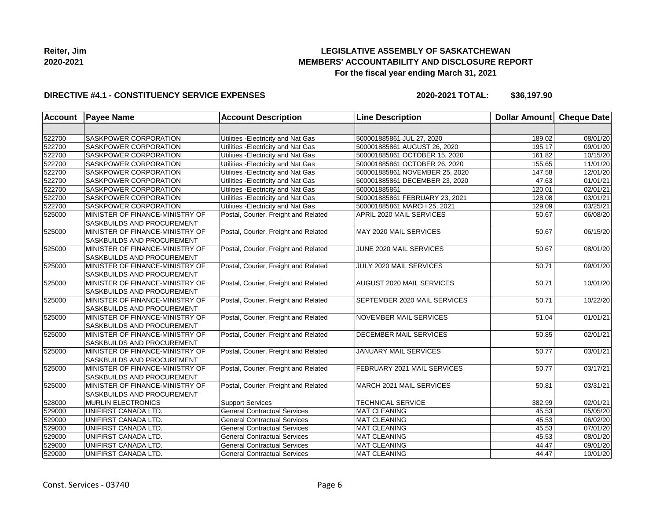

### **DIRECTIVE #4.1 - CONSTITUENCY SERVICE EXPENSES**

| <b>Account</b> | <b>Payee Name</b>                                                    | <b>Account Description</b>           | <b>Line Description</b>        | Dollar Amount Cheque Date |          |
|----------------|----------------------------------------------------------------------|--------------------------------------|--------------------------------|---------------------------|----------|
|                |                                                                      |                                      |                                |                           |          |
| 522700         | SASKPOWER CORPORATION                                                | Utilities - Electricity and Nat Gas  | 500001885861 JUL 27, 2020      | 189.02                    | 08/01/20 |
| 522700         | SASKPOWER CORPORATION                                                | Utilities - Electricity and Nat Gas  | 500001885861 AUGUST 26, 2020   | 195.17                    | 09/01/20 |
| 522700         | <b>SASKPOWER CORPORATION</b>                                         | Utilities - Electricity and Nat Gas  | 500001885861 OCTOBER 15, 2020  | 161.82                    | 10/15/20 |
| 522700         | <b>SASKPOWER CORPORATION</b>                                         | Utilities - Electricity and Nat Gas  | 500001885861 OCTOBER 26, 2020  | 155.65                    | 11/01/20 |
| 522700         | <b>SASKPOWER CORPORATION</b>                                         | Utilities - Electricity and Nat Gas  | 500001885861 NOVEMBER 25, 2020 | 147.58                    | 12/01/20 |
| 522700         | <b>SASKPOWER CORPORATION</b>                                         | Utilities - Electricity and Nat Gas  | 500001885861 DECEMBER 23, 2020 | 47.63                     | 01/01/21 |
| 522700         | <b>SASKPOWER CORPORATION</b>                                         | Utilities - Electricity and Nat Gas  | 500001885861                   | 120.01                    | 02/01/21 |
| 522700         | SASKPOWER CORPORATION                                                | Utilities - Electricity and Nat Gas  | 500001885861 FEBRUARY 23, 2021 | 128.08                    | 03/01/21 |
| 522700         | <b>SASKPOWER CORPORATION</b>                                         | Utilities - Electricity and Nat Gas  | 500001885861 MARCH 25, 2021    | 129.09                    | 03/25/21 |
| 525000         | MINISTER OF FINANCE-MINISTRY OF<br><b>SASKBUILDS AND PROCUREMENT</b> | Postal, Courier, Freight and Related | APRIL 2020 MAIL SERVICES       | 50.67                     | 06/08/20 |
| 525000         | MINISTER OF FINANCE-MINISTRY OF<br><b>SASKBUILDS AND PROCUREMENT</b> | Postal, Courier, Freight and Related | MAY 2020 MAIL SERVICES         | 50.67                     | 06/15/20 |
| 525000         | MINISTER OF FINANCE-MINISTRY OF<br>SASKBUILDS AND PROCUREMENT        | Postal, Courier, Freight and Related | JUNE 2020 MAIL SERVICES        | 50.67                     | 08/01/20 |
| 525000         | MINISTER OF FINANCE-MINISTRY OF<br><b>SASKBUILDS AND PROCUREMENT</b> | Postal, Courier, Freight and Related | JULY 2020 MAIL SERVICES        | 50.71                     | 09/01/20 |
| 525000         | MINISTER OF FINANCE-MINISTRY OF<br><b>SASKBUILDS AND PROCUREMENT</b> | Postal, Courier, Freight and Related | AUGUST 2020 MAIL SERVICES      | 50.71                     | 10/01/20 |
| 525000         | MINISTER OF FINANCE-MINISTRY OF<br><b>SASKBUILDS AND PROCUREMENT</b> | Postal, Courier, Freight and Related | SEPTEMBER 2020 MAIL SERVICES   | 50.71                     | 10/22/20 |
| 525000         | MINISTER OF FINANCE-MINISTRY OF<br><b>SASKBUILDS AND PROCUREMENT</b> | Postal, Courier, Freight and Related | <b>NOVEMBER MAIL SERVICES</b>  | 51.04                     | 01/01/21 |
| 525000         | MINISTER OF FINANCE-MINISTRY OF<br><b>SASKBUILDS AND PROCUREMENT</b> | Postal, Courier, Freight and Related | <b>DECEMBER MAIL SERVICES</b>  | 50.85                     | 02/01/21 |
| 525000         | MINISTER OF FINANCE-MINISTRY OF<br><b>SASKBUILDS AND PROCUREMENT</b> | Postal, Courier, Freight and Related | <b>JANUARY MAIL SERVICES</b>   | 50.77                     | 03/01/21 |
| 525000         | MINISTER OF FINANCE-MINISTRY OF<br><b>SASKBUILDS AND PROCUREMENT</b> | Postal, Courier, Freight and Related | FEBRUARY 2021 MAIL SERVICES    | 50.77                     | 03/17/21 |
| 525000         | MINISTER OF FINANCE-MINISTRY OF<br><b>SASKBUILDS AND PROCUREMENT</b> | Postal, Courier, Freight and Related | MARCH 2021 MAIL SERVICES       | 50.81                     | 03/31/21 |
| 528000         | <b>MURLIN ELECTRONICS</b>                                            | <b>Support Services</b>              | <b>TECHNICAL SERVICE</b>       | 382.99                    | 02/01/21 |
| 529000         | UNIFIRST CANADA LTD.                                                 | <b>General Contractual Services</b>  | MAT CLEANING                   | 45.53                     | 05/05/20 |
| 529000         | UNIFIRST CANADA LTD.                                                 | <b>General Contractual Services</b>  | MAT CLEANING                   | 45.53                     | 06/02/20 |
| 529000         | UNIFIRST CANADA LTD.                                                 | <b>General Contractual Services</b>  | <b>MAT CLEANING</b>            | 45.53                     | 07/01/20 |
| 529000         | UNIFIRST CANADA LTD.                                                 | <b>General Contractual Services</b>  | MAT CLEANING                   | 45.53                     | 08/01/20 |
| 529000         | UNIFIRST CANADA LTD.                                                 | <b>General Contractual Services</b>  | MAT CLEANING                   | 44.47                     | 09/01/20 |
| 529000         | UNIFIRST CANADA LTD.                                                 | <b>General Contractual Services</b>  | MAT CLEANING                   | 44.47                     | 10/01/20 |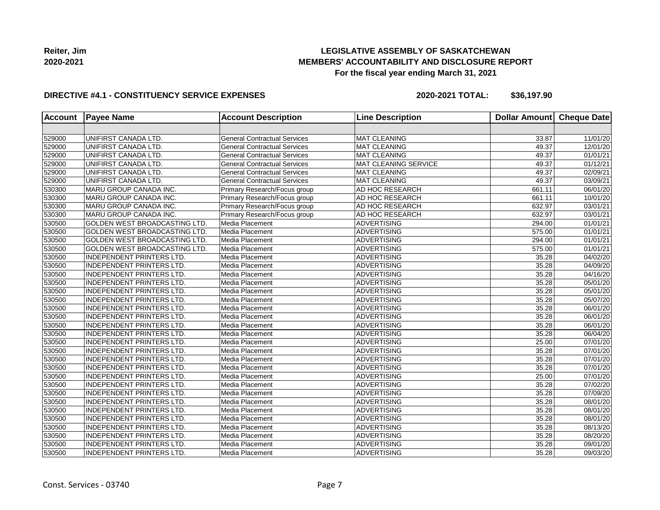

### **DIRECTIVE #4.1 - CONSTITUENCY SERVICE EXPENSES**

| <b>Account</b> | <b>Payee Name</b>                    | <b>Account Description</b>          | <b>Line Description</b> | <b>Dollar Amount</b> | <b>Cheque Date</b>    |
|----------------|--------------------------------------|-------------------------------------|-------------------------|----------------------|-----------------------|
|                |                                      |                                     |                         |                      |                       |
| 529000         | UNIFIRST CANADA LTD.                 | <b>General Contractual Services</b> | MAT CLEANING            | 33.87                | 11/01/20              |
| 529000         | UNIFIRST CANADA LTD.                 | <b>General Contractual Services</b> | <b>MAT CLEANING</b>     | 49.37                | 12/01/20              |
| 529000         | UNIFIRST CANADA LTD.                 | <b>General Contractual Services</b> | <b>MAT CLEANING</b>     | 49.37                | 01/01/21              |
| 529000         | UNIFIRST CANADA LTD.                 | <b>General Contractual Services</b> | MAT CLEANING SERVICE    | 49.37                | 01/12/21              |
| 529000         | UNIFIRST CANADA LTD.                 | <b>General Contractual Services</b> | <b>MAT CLEANING</b>     | 49.37                | 02/09/21              |
| 529000         | UNIFIRST CANADA LTD.                 | <b>General Contractual Services</b> | <b>MAT CLEANING</b>     | 49.37                | 03/09/21              |
| 530300         | MARU GROUP CANADA INC.               | Primary Research/Focus group        | AD HOC RESEARCH         | 661.11               | 06/01/20              |
| 530300         | MARU GROUP CANADA INC.               | Primary Research/Focus group        | AD HOC RESEARCH         | 661.11               | 10/01/20              |
| 530300         | MARU GROUP CANADA INC.               | Primary Research/Focus group        | AD HOC RESEARCH         | 632.97               | 03/01/21              |
| 530300         | MARU GROUP CANADA INC.               | Primary Research/Focus group        | AD HOC RESEARCH         | 632.97               | 03/01/21              |
| 530500         | GOLDEN WEST BROADCASTING LTD.        | Media Placement                     | <b>ADVERTISING</b>      | 294.00               | 01/01/21              |
| 530500         | <b>GOLDEN WEST BROADCASTING LTD.</b> | Media Placement                     | <b>ADVERTISING</b>      | 575.00               | 01/01/21              |
| 530500         | <b>GOLDEN WEST BROADCASTING LTD.</b> | Media Placement                     | <b>ADVERTISING</b>      | 294.00               | $\overline{01}/01/21$ |
| 530500         | GOLDEN WEST BROADCASTING LTD.        | Media Placement                     | <b>ADVERTISING</b>      | 575.00               | 01/01/21              |
| 530500         | <b>INDEPENDENT PRINTERS LTD.</b>     | Media Placement                     | <b>ADVERTISING</b>      | 35.28                | 04/02/20              |
| 530500         | <b>INDEPENDENT PRINTERS LTD.</b>     | Media Placement                     | <b>ADVERTISING</b>      | 35.28                | 04/09/20              |
| 530500         | <b>INDEPENDENT PRINTERS LTD.</b>     | Media Placement                     | <b>ADVERTISING</b>      | 35.28                | 04/16/20              |
| 530500         | <b>INDEPENDENT PRINTERS LTD.</b>     | Media Placement                     | <b>ADVERTISING</b>      | 35.28                | 05/01/20              |
| 530500         | <b>INDEPENDENT PRINTERS LTD.</b>     | Media Placement                     | <b>ADVERTISING</b>      | 35.28                | 05/01/20              |
| 530500         | <b>INDEPENDENT PRINTERS LTD.</b>     | Media Placement                     | <b>ADVERTISING</b>      | 35.28                | 05/07/20              |
| 530500         | <b>IINDEPENDENT PRINTERS LTD.</b>    | Media Placement                     | <b>ADVERTISING</b>      | 35.28                | 06/01/20              |
| 530500         | <b>INDEPENDENT PRINTERS LTD.</b>     | Media Placement                     | <b>ADVERTISING</b>      | 35.28                | 06/01/20              |
| 530500         | <b>INDEPENDENT PRINTERS LTD.</b>     | Media Placement                     | <b>ADVERTISING</b>      | 35.28                | 06/01/20              |
| 530500         | <b>INDEPENDENT PRINTERS LTD.</b>     | Media Placement                     | <b>ADVERTISING</b>      | 35.28                | 06/04/20              |
| 530500         | INDEPENDENT PRINTERS LTD.            | Media Placement                     | <b>ADVERTISING</b>      | 25.00                | 07/01/20              |
| 530500         | <b>INDEPENDENT PRINTERS LTD.</b>     | Media Placement                     | <b>ADVERTISING</b>      | 35.28                | 07/01/20              |
| 530500         | <b>INDEPENDENT PRINTERS LTD.</b>     | Media Placement                     | <b>ADVERTISING</b>      | 35.28                | 07/01/20              |
| 530500         | <b>INDEPENDENT PRINTERS LTD.</b>     | Media Placement                     | <b>ADVERTISING</b>      | 35.28                | 07/01/20              |
| 530500         | <b>INDEPENDENT PRINTERS LTD.</b>     | Media Placement                     | <b>ADVERTISING</b>      | 25.00                | 07/01/20              |
| 530500         | <b>INDEPENDENT PRINTERS LTD.</b>     | Media Placement                     | <b>ADVERTISING</b>      | 35.28                | $\overline{07/02/20}$ |
| 530500         | <b>INDEPENDENT PRINTERS LTD.</b>     | Media Placement                     | <b>ADVERTISING</b>      | 35.28                | 07/09/20              |
| 530500         | <b>INDEPENDENT PRINTERS LTD.</b>     | Media Placement                     | <b>ADVERTISING</b>      | 35.28                | 08/01/20              |
| 530500         | <b>INDEPENDENT PRINTERS LTD.</b>     | Media Placement                     | <b>ADVERTISING</b>      | 35.28                | 08/01/20              |
| 530500         | <b>INDEPENDENT PRINTERS LTD.</b>     | Media Placement                     | <b>ADVERTISING</b>      | 35.28                | 08/01/20              |
| 530500         | <b>INDEPENDENT PRINTERS LTD.</b>     | Media Placement                     | <b>ADVERTISING</b>      | 35.28                | 08/13/20              |
| 530500         | <b>INDEPENDENT PRINTERS LTD.</b>     | Media Placement                     | <b>ADVERTISING</b>      | 35.28                | 08/20/20              |
| 530500         | <b>INDEPENDENT PRINTERS LTD.</b>     | Media Placement                     | <b>ADVERTISING</b>      | 35.28                | 09/01/20              |
| 530500         | <b>INDEPENDENT PRINTERS LTD.</b>     | Media Placement                     | <b>ADVERTISING</b>      | 35.28                | 09/03/20              |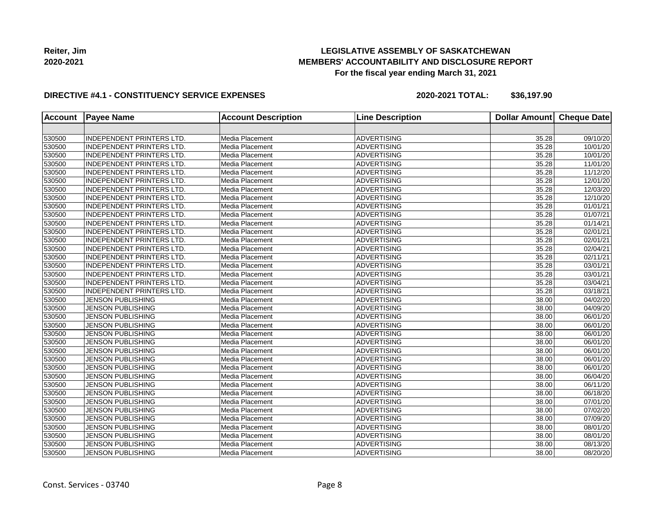

### **DIRECTIVE #4.1 - CONSTITUENCY SERVICE EXPENSES**

| <b>Account</b> | <b>Payee Name</b>                | <b>Account Description</b> | <b>Line Description</b> | <b>Dollar Amount</b> | <b>Cheque Date</b>    |
|----------------|----------------------------------|----------------------------|-------------------------|----------------------|-----------------------|
|                |                                  |                            |                         |                      |                       |
| 530500         | <b>INDEPENDENT PRINTERS LTD.</b> | Media Placement            | <b>ADVERTISING</b>      | 35.28                | 09/10/20              |
| 530500         | INDEPENDENT PRINTERS LTD.        | Media Placement            | <b>ADVERTISING</b>      | 35.28                | 10/01/20              |
| 530500         | INDEPENDENT PRINTERS LTD.        | Media Placement            | <b>ADVERTISING</b>      | 35.28                | 10/01/20              |
| 530500         | INDEPENDENT PRINTERS LTD.        | Media Placement            | <b>ADVERTISING</b>      | 35.28                | 11/01/20              |
| 530500         | INDEPENDENT PRINTERS LTD.        | Media Placement            | <b>ADVERTISING</b>      | 35.28                | 11/12/20              |
| 530500         | INDEPENDENT PRINTERS LTD.        | Media Placement            | <b>ADVERTISING</b>      | 35.28                | 12/01/20              |
| 530500         | INDEPENDENT PRINTERS LTD.        | Media Placement            | <b>ADVERTISING</b>      | 35.28                | 12/03/20              |
| 530500         | INDEPENDENT PRINTERS LTD.        | Media Placement            | <b>ADVERTISING</b>      | 35.28                | 12/10/20              |
| 530500         | INDEPENDENT PRINTERS LTD.        | Media Placement            | <b>ADVERTISING</b>      | 35.28                | 01/01/21              |
| 530500         | INDEPENDENT PRINTERS LTD.        | Media Placement            | <b>ADVERTISING</b>      | 35.28                | 01/07/21              |
| 530500         | <b>INDEPENDENT PRINTERS LTD.</b> | Media Placement            | <b>ADVERTISING</b>      | 35.28                | 01/14/21              |
| 530500         | INDEPENDENT PRINTERS LTD.        | Media Placement            | <b>ADVERTISING</b>      | 35.28                | 02/01/21              |
| 530500         | INDEPENDENT PRINTERS LTD.        | Media Placement            | <b>ADVERTISING</b>      | 35.28                | 02/01/21              |
| 530500         | INDEPENDENT PRINTERS LTD.        | Media Placement            | <b>ADVERTISING</b>      | 35.28                | $\overline{02/04/21}$ |
| 530500         | <b>INDEPENDENT PRINTERS LTD.</b> | Media Placement            | <b>ADVERTISING</b>      | 35.28                | 02/11/21              |
| 530500         | INDEPENDENT PRINTERS LTD.        | Media Placement            | <b>ADVERTISING</b>      | 35.28                | 03/01/21              |
| 530500         | <b>INDEPENDENT PRINTERS LTD.</b> | Media Placement            | <b>ADVERTISING</b>      | 35.28                | 03/01/21              |
| 530500         | <b>INDEPENDENT PRINTERS LTD.</b> | Media Placement            | <b>ADVERTISING</b>      | 35.28                | 03/04/21              |
| 530500         | <b>INDEPENDENT PRINTERS LTD.</b> | Media Placement            | <b>ADVERTISING</b>      | 35.28                | 03/18/21              |
| 530500         | <b>JENSON PUBLISHING</b>         | Media Placement            | <b>ADVERTISING</b>      | 38.00                | 04/02/20              |
| 530500         | <b>JENSON PUBLISHING</b>         | Media Placement            | <b>ADVERTISING</b>      | 38.00                | 04/09/20              |
| 530500         | <b>JENSON PUBLISHING</b>         | Media Placement            | <b>ADVERTISING</b>      | 38.00                | 06/01/20              |
| 530500         | <b>JENSON PUBLISHING</b>         | Media Placement            | <b>ADVERTISING</b>      | 38.00                | 06/01/20              |
| 530500         | <b>JENSON PUBLISHING</b>         | Media Placement            | <b>ADVERTISING</b>      | 38.00                | 06/01/20              |
| 530500         | <b>JENSON PUBLISHING</b>         | Media Placement            | <b>ADVERTISING</b>      | 38.00                | 06/01/20              |
| 530500         | <b>JENSON PUBLISHING</b>         | Media Placement            | <b>ADVERTISING</b>      | 38.00                | 06/01/20              |
| 530500         | <b>JENSON PUBLISHING</b>         | Media Placement            | <b>ADVERTISING</b>      | 38.00                | 06/01/20              |
| 530500         | <b>JENSON PUBLISHING</b>         | Media Placement            | <b>ADVERTISING</b>      | 38.00                | 06/01/20              |
| 530500         | <b>JENSON PUBLISHING</b>         | Media Placement            | <b>ADVERTISING</b>      | 38.00                | 06/04/20              |
| 530500         | <b>JENSON PUBLISHING</b>         | Media Placement            | <b>ADVERTISING</b>      | 38.00                | 06/11/20              |
| 530500         | <b>JENSON PUBLISHING</b>         | Media Placement            | <b>ADVERTISING</b>      | 38.00                | 06/18/20              |
| 530500         | <b>JENSON PUBLISHING</b>         | Media Placement            | <b>ADVERTISING</b>      | 38.00                | 07/01/20              |
| 530500         | <b>JENSON PUBLISHING</b>         | Media Placement            | <b>ADVERTISING</b>      | 38.00                | 07/02/20              |
| 530500         | <b>JENSON PUBLISHING</b>         | Media Placement            | <b>ADVERTISING</b>      | 38.00                | 07/09/20              |
| 530500         | <b>JENSON PUBLISHING</b>         | Media Placement            | <b>ADVERTISING</b>      | 38.00                | 08/01/20              |
| 530500         | <b>JENSON PUBLISHING</b>         | Media Placement            | <b>ADVERTISING</b>      | 38.00                | 08/01/20              |
| 530500         | <b>JENSON PUBLISHING</b>         | Media Placement            | <b>ADVERTISING</b>      | 38.00                | 08/13/20              |
| 530500         | <b>JENSON PUBLISHING</b>         | Media Placement            | <b>ADVERTISING</b>      | 38.00                | 08/20/20              |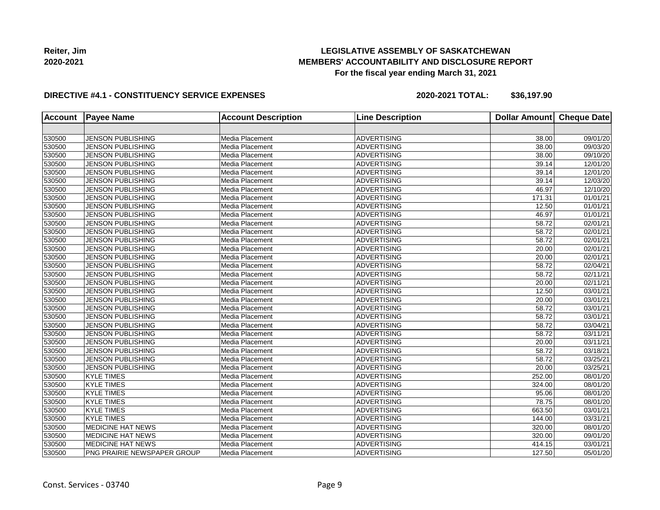

### **DIRECTIVE #4.1 - CONSTITUENCY SERVICE EXPENSES**

| <b>Account</b> | <b>Payee Name</b>           | <b>Account Description</b> | <b>Line Description</b> | Dollar Amount | <b>Cheque Date</b>    |
|----------------|-----------------------------|----------------------------|-------------------------|---------------|-----------------------|
|                |                             |                            |                         |               |                       |
| 530500         | JENSON PUBLISHING           | Media Placement            | <b>ADVERTISING</b>      | 38.00         | 09/01/20              |
| 530500         | <b>JENSON PUBLISHING</b>    | Media Placement            | <b>ADVERTISING</b>      | 38.00         | 09/03/20              |
| 530500         | <b>JENSON PUBLISHING</b>    | Media Placement            | <b>ADVERTISING</b>      | 38.00         | 09/10/20              |
| 530500         | <b>JENSON PUBLISHING</b>    | Media Placement            | <b>ADVERTISING</b>      | 39.14         | 12/01/20              |
| 530500         | JENSON PUBLISHING           | Media Placement            | <b>ADVERTISING</b>      | 39.14         | 12/01/20              |
| 530500         | <b>JENSON PUBLISHING</b>    | Media Placement            | <b>ADVERTISING</b>      | 39.14         | 12/03/20              |
| 530500         | <b>JENSON PUBLISHING</b>    | Media Placement            | <b>ADVERTISING</b>      | 46.97         | 12/10/20              |
| 530500         | <b>JENSON PUBLISHING</b>    | Media Placement            | <b>ADVERTISING</b>      | 171.31        | 01/01/21              |
| 530500         | <b>JENSON PUBLISHING</b>    | Media Placement            | <b>ADVERTISING</b>      | 12.50         | 01/01/21              |
| 530500         | <b>JENSON PUBLISHING</b>    | Media Placement            | <b>ADVERTISING</b>      | 46.97         | 01/01/21              |
| 530500         | <b>JENSON PUBLISHING</b>    | Media Placement            | <b>ADVERTISING</b>      | 58.72         | 02/01/21              |
| 530500         | <b>JENSON PUBLISHING</b>    | Media Placement            | <b>ADVERTISING</b>      | 58.72         | 02/01/21              |
| 530500         | <b>JENSON PUBLISHING</b>    | Media Placement            | <b>ADVERTISING</b>      | 58.72         | 02/01/21              |
| 530500         | <b>JENSON PUBLISHING</b>    | Media Placement            | <b>ADVERTISING</b>      | 20.00         | $\overline{02/0}1/21$ |
| 530500         | <b>JENSON PUBLISHING</b>    | Media Placement            | <b>ADVERTISING</b>      | 20.00         | 02/01/21              |
| 530500         | <b>JENSON PUBLISHING</b>    | Media Placement            | <b>ADVERTISING</b>      | 58.72         | 02/04/21              |
| 530500         | JENSON PUBLISHING           | Media Placement            | <b>ADVERTISING</b>      | 58.72         | 02/11/21              |
| 530500         | <b>JENSON PUBLISHING</b>    | Media Placement            | <b>ADVERTISING</b>      | 20.00         | 02/11/21              |
| 530500         | <b>JENSON PUBLISHING</b>    | Media Placement            | <b>ADVERTISING</b>      | 12.50         | 03/01/21              |
| 530500         | <b>JENSON PUBLISHING</b>    | Media Placement            | <b>ADVERTISING</b>      | 20.00         | 03/01/21              |
| 530500         | <b>JENSON PUBLISHING</b>    | Media Placement            | <b>ADVERTISING</b>      | 58.72         | 03/01/21              |
| 530500         | <b>JENSON PUBLISHING</b>    | Media Placement            | <b>ADVERTISING</b>      | 58.72         | 03/01/21              |
| 530500         | JENSON PUBLISHING           | Media Placement            | <b>ADVERTISING</b>      | 58.72         | 03/04/21              |
| 530500         | <b>JENSON PUBLISHING</b>    | Media Placement            | <b>ADVERTISING</b>      | 58.72         | 03/11/21              |
| 530500         | <b>JENSON PUBLISHING</b>    | Media Placement            | <b>ADVERTISING</b>      | 20.00         | 03/11/21              |
| 530500         | <b>JENSON PUBLISHING</b>    | Media Placement            | <b>ADVERTISING</b>      | 58.72         | 03/18/21              |
| 530500         | <b>JENSON PUBLISHING</b>    | Media Placement            | <b>ADVERTISING</b>      | 58.72         | 03/25/21              |
| 530500         | <b>JENSON PUBLISHING</b>    | Media Placement            | <b>ADVERTISING</b>      | 20.00         | 03/25/21              |
| 530500         | <b>KYLE TIMES</b>           | Media Placement            | <b>ADVERTISING</b>      | 252.00        | 08/01/20              |
| 530500         | <b>KYLE TIMES</b>           | Media Placement            | <b>ADVERTISING</b>      | 324.00        | 08/01/20              |
| 530500         | <b>KYLE TIMES</b>           | Media Placement            | <b>ADVERTISING</b>      | 95.06         | 08/01/20              |
| 530500         | <b>KYLE TIMES</b>           | Media Placement            | <b>ADVERTISING</b>      | 78.75         | 08/01/20              |
| 530500         | <b>KYLE TIMES</b>           | Media Placement            | <b>ADVERTISING</b>      | 663.50        | 03/01/21              |
| 530500         | <b>KYLE TIMES</b>           | Media Placement            | <b>ADVERTISING</b>      | 144.00        | 03/31/21              |
| 530500         | <b>MEDICINE HAT NEWS</b>    | Media Placement            | <b>ADVERTISING</b>      | 320.00        | 08/01/20              |
| 530500         | <b>MEDICINE HAT NEWS</b>    | Media Placement            | <b>ADVERTISING</b>      | 320.00        | 09/01/20              |
| 530500         | <b>MEDICINE HAT NEWS</b>    | Media Placement            | <b>ADVERTISING</b>      | 414.15        | 03/01/21              |
| 530500         | PNG PRAIRIE NEWSPAPER GROUP | Media Placement            | <b>ADVERTISING</b>      | 127.50        | 05/01/20              |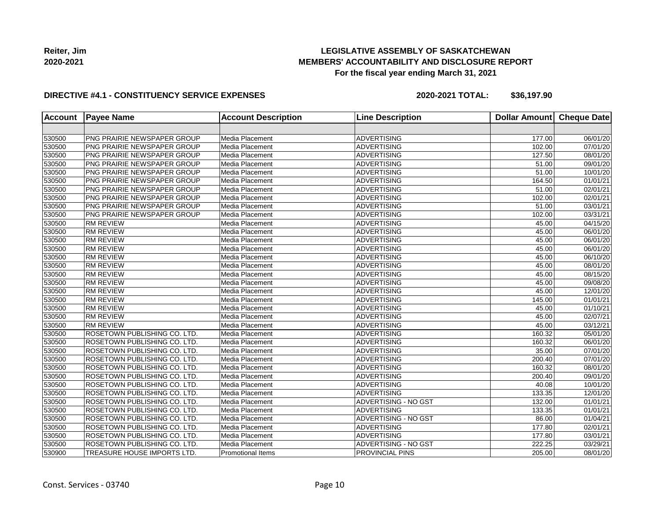

### **DIRECTIVE #4.1 - CONSTITUENCY SERVICE EXPENSES**

| <b>Account</b> | <b>Payee Name</b>                   | <b>Account Description</b> | <b>Line Description</b>     | <b>Dollar Amount</b> | <b>Cheque Date</b>    |
|----------------|-------------------------------------|----------------------------|-----------------------------|----------------------|-----------------------|
|                |                                     |                            |                             |                      |                       |
| 530500         | PNG PRAIRIE NEWSPAPER GROUP         | Media Placement            | <b>ADVERTISING</b>          | 177.00               | 06/01/20              |
| 530500         | PNG PRAIRIE NEWSPAPER GROUP         | Media Placement            | <b>ADVERTISING</b>          | 102.00               | 07/01/20              |
| 530500         | PNG PRAIRIE NEWSPAPER GROUP         | Media Placement            | <b>ADVERTISING</b>          | 127.50               | 08/01/20              |
| 530500         | PNG PRAIRIE NEWSPAPER GROUP         | Media Placement            | ADVERTISING                 | 51.00                | 09/01/20              |
| 530500         | PNG PRAIRIE NEWSPAPER GROUP         | Media Placement            | <b>ADVERTISING</b>          | 51.00                | 10/01/20              |
| 530500         | PNG PRAIRIE NEWSPAPER GROUP         | Media Placement            | <b>ADVERTISING</b>          | 164.50               | 01/01/21              |
| 530500         | PNG PRAIRIE NEWSPAPER GROUP         | Media Placement            | <b>ADVERTISING</b>          | 51.00                | 02/01/21              |
| 530500         | PNG PRAIRIE NEWSPAPER GROUP         | Media Placement            | <b>ADVERTISING</b>          | 102.00               | 02/01/21              |
| 530500         | <b>PNG PRAIRIE NEWSPAPER GROUP</b>  | Media Placement            | <b>ADVERTISING</b>          | $\frac{1}{51.00}$    | 03/01/21              |
| 530500         | PNG PRAIRIE NEWSPAPER GROUP         | Media Placement            | ADVERTISING                 | 102.00               | 03/31/21              |
| 530500         | <b>RM REVIEW</b>                    | Media Placement            | <b>ADVERTISING</b>          | 45.00                | 04/15/20              |
| 530500         | <b>RM REVIEW</b>                    | Media Placement            | <b>ADVERTISING</b>          | 45.00                | 06/01/20              |
| 530500         | <b>RM REVIEW</b>                    | Media Placement            | <b>ADVERTISING</b>          | 45.00                | 06/01/20              |
| 530500         | <b>RM REVIEW</b>                    | Media Placement            | <b>ADVERTISING</b>          | 45.00                | 06/01/20              |
| 530500         | <b>RM REVIEW</b>                    | Media Placement            | <b>ADVERTISING</b>          | 45.00                | 06/10/20              |
| 530500         | <b>RM REVIEW</b>                    | Media Placement            | ADVERTISING                 | 45.00                | 08/01/20              |
| 530500         | <b>RM REVIEW</b>                    | Media Placement            | <b>ADVERTISING</b>          | 45.00                | 08/15/20              |
| 530500         | <b>RM REVIEW</b>                    | Media Placement            | <b>ADVERTISING</b>          | 45.00                | 09/08/20              |
| 530500         | <b>RM REVIEW</b>                    | Media Placement            | <b>ADVERTISING</b>          | 45.00                | 12/01/20              |
| 530500         | <b>RM REVIEW</b>                    | Media Placement            | <b>ADVERTISING</b>          | 145.00               | 01/01/21              |
| 530500         | <b>RM REVIEW</b>                    | Media Placement            | <b>ADVERTISING</b>          | 45.00                | 01/10/21              |
| 530500         | <b>RM REVIEW</b>                    | Media Placement            | <b>ADVERTISING</b>          | 45.00                | 02/07/21              |
| 530500         | <b>RM REVIEW</b>                    | Media Placement            | <b>ADVERTISING</b>          | 45.00                | 03/12/21              |
| 530500         | ROSETOWN PUBLISHING CO. LTD.        | Media Placement            | <b>ADVERTISING</b>          | 160.32               | $\overline{05/0}1/20$ |
| 530500         | ROSETOWN PUBLISHING CO. LTD.        | Media Placement            | <b>ADVERTISING</b>          | 160.32               | 06/01/20              |
| 530500         | ROSETOWN PUBLISHING CO. LTD.        | Media Placement            | <b>ADVERTISING</b>          | 35.00                | 07/01/20              |
| 530500         | ROSETOWN PUBLISHING CO. LTD.        | Media Placement            | <b>ADVERTISING</b>          | $\overline{200.40}$  | 07/01/20              |
| 530500         | <b>ROSETOWN PUBLISHING CO. LTD.</b> | Media Placement            | ADVERTISING                 | 160.32               | 08/01/20              |
| 530500         | <b>ROSETOWN PUBLISHING CO. LTD.</b> | Media Placement            | <b>ADVERTISING</b>          | 200.40               | 09/01/20              |
| 530500         | <b>ROSETOWN PUBLISHING CO. LTD.</b> | Media Placement            | <b>ADVERTISING</b>          | 40.08                | 10/01/20              |
| 530500         | <b>ROSETOWN PUBLISHING CO. LTD.</b> | Media Placement            | <b>ADVERTISING</b>          | 133.35               | 12/01/20              |
| 530500         | <b>ROSETOWN PUBLISHING CO. LTD.</b> | Media Placement            | ADVERTISING - NO GST        | 132.00               | 01/01/21              |
| 530500         | ROSETOWN PUBLISHING CO. LTD.        | Media Placement            | ADVERTISING                 | 133.35               | 01/01/21              |
| 530500         | <b>ROSETOWN PUBLISHING CO. LTD.</b> | Media Placement            | <b>ADVERTISING - NO GST</b> | 86.00                | 01/04/21              |
| 530500         | <b>ROSETOWN PUBLISHING CO. LTD.</b> | Media Placement            | <b>ADVERTISING</b>          | 177.80               | 02/01/21              |
| 530500         | ROSETOWN PUBLISHING CO. LTD.        | Media Placement            | <b>ADVERTISING</b>          | 177.80               | 03/01/21              |
| 530500         | ROSETOWN PUBLISHING CO. LTD.        | Media Placement            | ADVERTISING - NO GST        | 222.25               | 03/29/21              |
| 530900         | TREASURE HOUSE IMPORTS LTD.         | <b>Promotional Items</b>   | <b>PROVINCIAL PINS</b>      | 205.00               | 08/01/20              |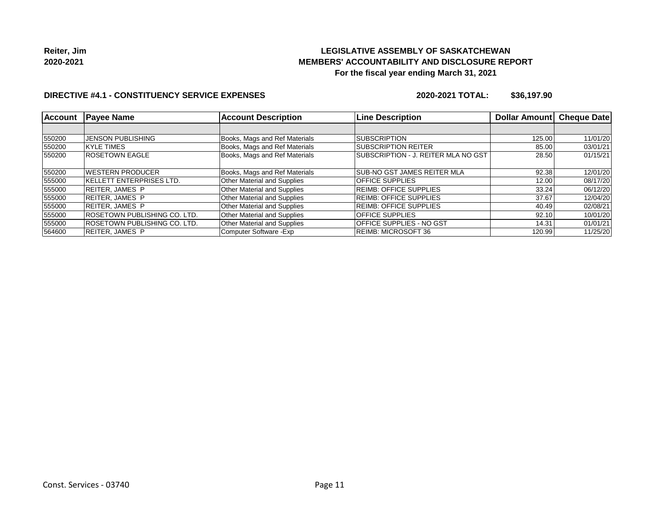

#### **DIRECTIVE #4.1 - CONSTITUENCY SERVICE EXPENSES**

| <b>Account</b> | <b>Payee Name</b>                    | <b>Account Description</b>         | <b>Line Description</b>             | Dollar Amount | <b>Cheque Date</b> |
|----------------|--------------------------------------|------------------------------------|-------------------------------------|---------------|--------------------|
|                |                                      |                                    |                                     |               |                    |
| 550200         | <b>JENSON PUBLISHING</b>             | Books, Mags and Ref Materials      | <b>SUBSCRIPTION</b>                 | 125.00        | 11/01/20           |
| 550200         | <b>KYLE TIMES</b>                    | Books, Mags and Ref Materials      | <b>SUBSCRIPTION REITER</b>          | 85.00         | 03/01/21           |
| 550200         | <b>ROSETOWN EAGLE</b>                | Books, Mags and Ref Materials      | SUBSCRIPTION - J. REITER MLA NO GST | 28.50         | 01/15/21           |
| 550200         | <b>IWESTERN PRODUCER</b>             | Books, Mags and Ref Materials      | <b>ISUB-NO GST JAMES REITER MLA</b> | 92.38         | 12/01/20           |
| 555000         | <b>IKELLETT ENTERPRISES LTD.</b>     | <b>Other Material and Supplies</b> | <b>IOFFICE SUPPLIES</b>             | 12.00         | 08/17/20           |
| 555000         | IREITER.JAMES P                      | <b>Other Material and Supplies</b> | <b>REIMB: OFFICE SUPPLIES</b>       | 33.24         | 06/12/20           |
| 555000         | REITER, JAMES P                      | <b>Other Material and Supplies</b> | <b>IREIMB: OFFICE SUPPLIES</b>      | 37.67         | 12/04/20           |
| 555000         | REITER.JAMES P                       | <b>Other Material and Supplies</b> | <b>REIMB: OFFICE SUPPLIES</b>       | 40.49         | 02/08/21           |
| 555000         | <b>IROSETOWN PUBLISHING CO. LTD.</b> | Other Material and Supplies        | <b>OFFICE SUPPLIES</b>              | 92.10         | 10/01/20           |
| 555000         | <b>IROSETOWN PUBLISHING CO. LTD.</b> | <b>Other Material and Supplies</b> | <b>OFFICE SUPPLIES - NO GST</b>     | 14.31         | 01/01/21           |
| 564600         | REITER.JAMES P                       | Computer Software - Exp            | REIMB: MICROSOFT 36                 | 120.99        | 11/25/20           |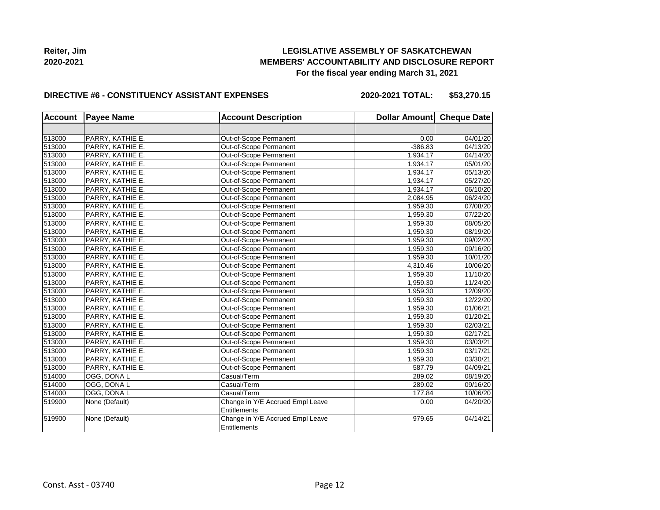

#### **DIRECTIVE #6 - CONSTITUENCY ASSISTANT EXPENSES**

**2020-2021 TOTAL: \$53,270.15**

| <b>Account</b> | <b>Payee Name</b> | <b>Account Description</b>       | Dollar Amount Cheque Date |          |
|----------------|-------------------|----------------------------------|---------------------------|----------|
|                |                   |                                  |                           |          |
| 513000         | PARRY, KATHIE E.  | Out-of-Scope Permanent           | 0.00                      | 04/01/20 |
| 513000         | PARRY, KATHIE E.  | Out-of-Scope Permanent           | $-386.83$                 | 04/13/20 |
| 513000         | PARRY, KATHIE E.  | Out-of-Scope Permanent           | 1,934.17                  | 04/14/20 |
| 513000         | PARRY, KATHIE E.  | Out-of-Scope Permanent           | 1,934.17                  | 05/01/20 |
| 513000         | PARRY, KATHIE E.  | Out-of-Scope Permanent           | 1,934.17                  | 05/13/20 |
| 513000         | PARRY, KATHIE E.  | Out-of-Scope Permanent           | 1,934.17                  | 05/27/20 |
| 513000         | PARRY, KATHIE E.  | Out-of-Scope Permanent           | 1,934.17                  | 06/10/20 |
| 513000         | PARRY, KATHIE E.  | Out-of-Scope Permanent           | 2,084.95                  | 06/24/20 |
| 513000         | PARRY, KATHIE E.  | Out-of-Scope Permanent           | 1,959.30                  | 07/08/20 |
| 513000         | PARRY, KATHIE E.  | Out-of-Scope Permanent           | 1,959.30                  | 07/22/20 |
| 513000         | PARRY, KATHIE E.  | Out-of-Scope Permanent           | 1,959.30                  | 08/05/20 |
| 513000         | PARRY, KATHIE E.  | Out-of-Scope Permanent           | 1,959.30                  | 08/19/20 |
| 513000         | PARRY, KATHIE E.  | Out-of-Scope Permanent           | 1,959.30                  | 09/02/20 |
| 513000         | PARRY, KATHIE E.  | Out-of-Scope Permanent           | 1,959.30                  | 09/16/20 |
| 513000         | PARRY, KATHIE E.  | Out-of-Scope Permanent           | 1,959.30                  | 10/01/20 |
| 513000         | PARRY, KATHIE E.  | Out-of-Scope Permanent           | 4,310.46                  | 10/06/20 |
| 513000         | PARRY, KATHIE E.  | Out-of-Scope Permanent           | 1,959.30                  | 11/10/20 |
| 513000         | PARRY, KATHIE E.  | Out-of-Scope Permanent           | 1,959.30                  | 11/24/20 |
| 513000         | PARRY, KATHIE E.  | Out-of-Scope Permanent           | 1,959.30                  | 12/09/20 |
| 513000         | PARRY, KATHIE E.  | Out-of-Scope Permanent           | 1,959.30                  | 12/22/20 |
| 513000         | PARRY, KATHIE E.  | Out-of-Scope Permanent           | 1,959.30                  | 01/06/21 |
| 513000         | PARRY, KATHIE E.  | Out-of-Scope Permanent           | 1,959.30                  | 01/20/21 |
| 513000         | PARRY, KATHIE E.  | Out-of-Scope Permanent           | 1,959.30                  | 02/03/21 |
| 513000         | PARRY, KATHIE E.  | Out-of-Scope Permanent           | 1,959.30                  | 02/17/21 |
| 513000         | PARRY, KATHIE E.  | Out-of-Scope Permanent           | 1,959.30                  | 03/03/21 |
| 513000         | PARRY, KATHIE E.  | Out-of-Scope Permanent           | 1,959.30                  | 03/17/21 |
| 513000         | PARRY, KATHIE E.  | Out-of-Scope Permanent           | 1,959.30                  | 03/30/21 |
| 513000         | PARRY, KATHIE E.  | Out-of-Scope Permanent           | 587.79                    | 04/09/21 |
| 514000         | OGG, DONA L       | Casual/Term                      | 289.02                    | 08/19/20 |
| 514000         | OGG, DONA L       | Casual/Term                      | 289.02                    | 09/16/20 |
| 514000         | OGG, DONA L       | Casual/Term                      | 177.84                    | 10/06/20 |
| 519900         | None (Default)    | Change in Y/E Accrued Empl Leave | 0.00                      | 04/20/20 |
|                |                   | Entitlements                     |                           |          |
| 519900         | None (Default)    | Change in Y/E Accrued Empl Leave | 979.65                    | 04/14/21 |
|                |                   | Entitlements                     |                           |          |